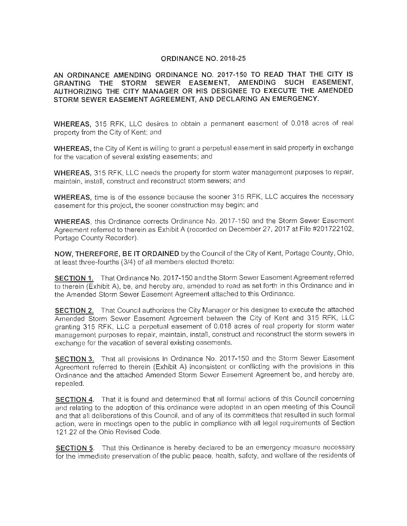#### **ORDINANCE NO. 2018-25**

**AN ORDINANCE AMENDING ORDINANCE NO. 2017-150 TO READ THAT THE CITY IS GRANTING THE STORM SEWER EASEMENT, AMENDING SUCH EASEMENT, AUTHORIZING THE CITY MANAGER OR HIS DESIGNEE TO EXECUTE THE AMENDED STORM SEWER EASEMENT AGREEMENT, AND DECLARING AN EMERGENCY.** 

**WHEREAS,** 315 RFK, LLC desires to obtain a permanent easement of 0.018 acres of real property from the City of Kent; and

WHEREAS, the City of Kent is willing to grant a perpetual easement in said property in exchange for the vacation of several existing easements; and

**WHEREAS,** 315 RFK, LLC needs the property for storm water management purposes to repair, maintain, install, construct and reconstruct storm sewers; and

**WHEREAS,** time is of the essence because the sooner 315 RFK, LLC acquires the necessary easement for this project, the sooner construction may begin; and

**WHEREAS,** this Ordinance corrects Ordinance No. 2017-150 and the Storm Sewer Easement Agreement referred to therein as Exhibit A (recorded on December 27, 2017 at File #201722102, Portage County Recorder).

**NOW, THEREFORE, BE IT ORDAINED** by the Council of the City of Kent, Portage County, Ohio, at least three-fourths (3/4) of all members elected thereto:

**SECTION 1.** That Ordinance No. 2017-150 and the Storm Sewer Easement Agreement referred to therein (Exhibit A), be, and hereby are, amended to read as set forth in this Ordinance and in the Amended Storm Sewer Easement Agreement attached to this Ordinance.

**SECTION 2.** That Council authorizes the City Manager or his designee to execute the attached Amended Storm Sewer Easement Agreement between the City of Kent and 315 RFK, LLC granting 315 RFK, LLC a perpetual easement of 0.018 acres of real property for storm water management purposes to repair, maintain, install, construct and reconstruct the storm sewers in exchange for the vacation of several existing easements.

**SECTION 3.** That all provisions in Ordinance No. 2017-150 and the Storm Sewer Easement Agreement referred to therein (Exhibit A) inconsistent or conflicting with the provisions in this Ordinance and the attached Amended Storm Sewer Easement Agreement be, and hereby are, repealed.

**SECTION 4.** That it is found and determined that all formal actions of this Council concerning and relating to the adoption of this ordinance were adopted in an open meeting of this Council and that all deliberations of this Council, and of any of its committees that resulted in such formal action, were in meetings open to the public in compliance with all legal requirements of Section 121.22 of the Ohio Revised Code.

**SECTION 5.** That this Ordinance is hereby declared to be an emergency measure necessary for the immediate preservation of the public peace, health, safety, and welfare of the residents of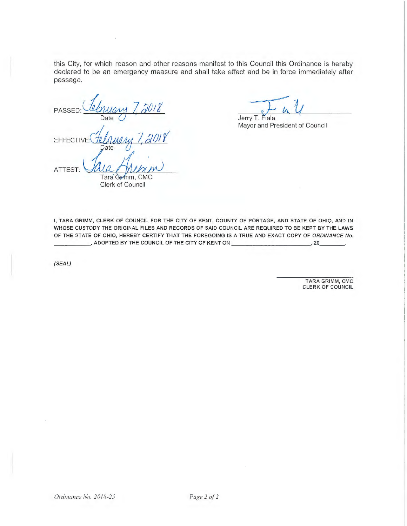this City, for which reason and other reasons manifest to this Council this Ordinance is hereby declared to be an emergency measure and shall take effect and be in force immediately after passage.

PASSED <sup>~</sup>ZdOI! Date **EFFECTI** 

ATTEST:

Tara Grimm, CMC Clerk of Council

 $\overline{L}_{4}$  $\ell$  $\mathcal U$ Jerry T. Fiala

Mayor and President of Council

I, **TARA GRIMM, CLERK OF COUNCIL FOR THE CITY OF KENT, COUNTY OF PORTAGE, AND STATE OF OHIO, AND IN WHOSE CUSTODY THE ORIGINAL FILES AND RECORDS OF SAID COUNCIL ARE REQUIRED TO BE KEPT BY THE LAWS OF THE STATE OF OHIO, HEREBY CERTIFY THAT THE FOREGOING IS A TRUE AND EXACT COPY OF ORDINANCE No.**  \_\_\_\_\_ , **ADOPTED BY THE COUNCIL OF THE CITY OF KENT ON \_\_\_\_\_\_\_\_\_\_ \_, 20 \_\_ \_** 

(SEAL)

TARA GRIMM, CMC CLERK OF COUNCIL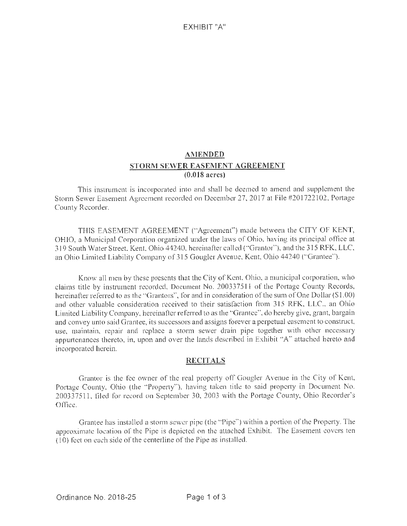# **AMENDED STORM SEWER EASEMENT AGREEMENT (0.0 18 acres)**

This instrument is incorporated into and shall be deemed to amend and supplement the Storm Sewer Easement Agreement recorded on December 27, 2017 at File #201722102, Portage County Recorder.

THIS EASEMENT AGREEMENT (" Agreement'') made between the CITY OF KENT, OHIO, a Municipal Corporation organized under the laws of Ohio, having its principal office at 319 South Water Street, Kent, Ohio 44240, hereinafter called ("Grantor"), and the 315 RFK, LLC, an Ohio Limited Liability Company of 315 Gougler Avenue, Kent, Ohio 44240 ("Grantee").

Know all men by these presents that the City of Kent, Ohio, a municipal corporation, who claims title by instrument recorded, Document No. 200337511 of the Portage County Records, hereinafter referred to as the "Grantors", for and in consideration of the sum of One Dollar (\$1.00) and other valuable consideration received to their satisfaction from 315 RFK, LLC., an Ohio Limited Li ability Company, hereinafter referred to as the "Grantee'', do hereby give, grant, bargain and convey unto said Grantee, its successors and assigns forever a perpetual easement to construct, use, maintain, repair and replace a storm sewer drain pipe together with other necessary appurtenances thereto, in, upon and over the lands described in Exhibit "A" attached hereto and incorporated herein.

## **RECITALS**

Grantor is the fee owner of the real property off Gougler Avenue in the City of Kent, Portage County, Ohio (the "Property"), having taken title to said property in Document No. 200337511, filed for record on September 30, 2003 with the Portage County, Ohio Recorder's Office.

Grantee has installed a storm sewer pipe (the "Pipe") within a portion of the Property. The approximate location of the Pipe is depicted on the attached Exhibit. The Easement covers ten ( 10) feet on each side of the centerline of the Pipe as installed.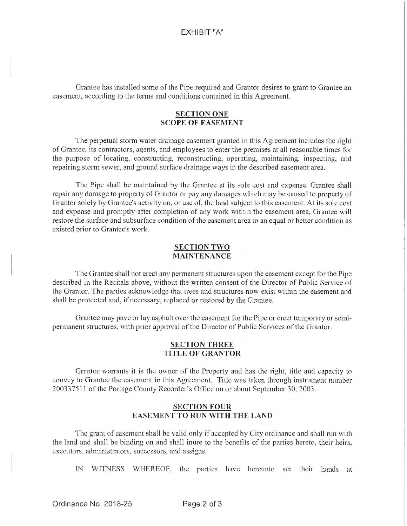Grantee has installed some of the Pipe required and Grantor desires to grant to Grantee an easement, according to the terms and conditions contained in this Agreement.

### **SECTION ONE SCOPE OF EASEMENT**

The perpetual stonn water drainage easement granted in this Agreement includes the right of Grantee, its contractors, agents, and employees to enter the premises at all reasonable times for the purpose of locating, constructing, reconstructing, operating, maintaining, inspecting, and repairing storm sewer, and ground surface drainage ways in the described easement area.

The Pipe shall be maintained by the Grantee at its sole cost and expense. Grantee shall repair any damage to property of Grantor or pay any damages which may be caused to property of Grantor solely by Grantee's activity on, or use of, the land subject to this easement. At its sole cost and expense and promptly after completion of any work within the easement area, Grantee will restore the surface and subsurface condition of the easement area to an equal or better condition as existed prior to Grantee's work.

#### **SECTION TWO MAINTENANCE**

The Grantee shall not erect any pennanent structures upon the easement except for the Pipe described in the Recitals above, without the written consent of the Director of Public Service of the Grantor. The parties acknowledge that trees and structures now exist within the easement and shall be protected and, if necessary, replaced or restored by the Grantee.

Grantee may pave or lay asphalt over the easement for the Pipe or erect temporary or semipermanent structures, with prior approval of the Director of Public Services of the Grantor.

#### **SECTION THREE TITLE OF GRANTOR**

Grantor warrants it is the owner of the Property and has the right, title and capacity to convey to Grantee the easement in this Agreement. Title was taken through instrument number 2003 3 75 11 of the Portage County Recorder's Office on or about September 30, 2003.

### **SECTION FOUR EASEMENT TO RUN WITH THE LAND**

The grant of easement shall be valid only if accepted by City ordinance and shall run with the land and shall be binding on and shall inure to the benefits of the parties hereto, their heirs, executors, administrators, successors, and assigns.

IN WITNESS WHEREOF, the parties have hereunto set their hands at